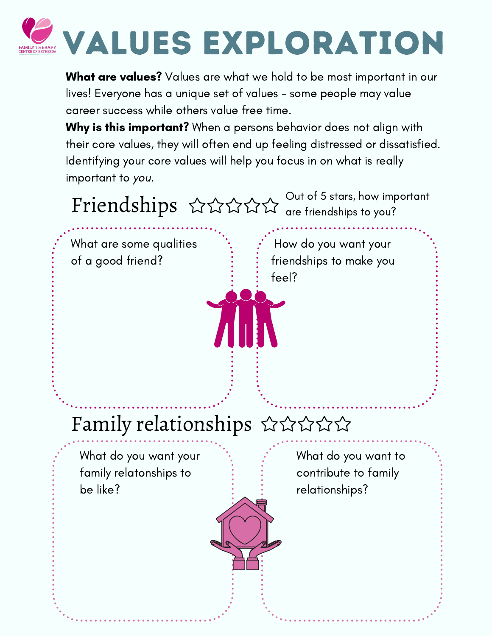

What are values? Values are what we hold to be most important in our lives! Everyone has a unique set of values - some people may value career success while others value free time.

Why is this important? When a persons behavior does not align with their core values, they will often end up feeling distressed or dissatisfied. Identifying your core values will help you focus in on what is really important to you.

Friendships  $\forall x$   $\forall x$   $\forall$   $\forall$  are friendships to you? are friendships to you?

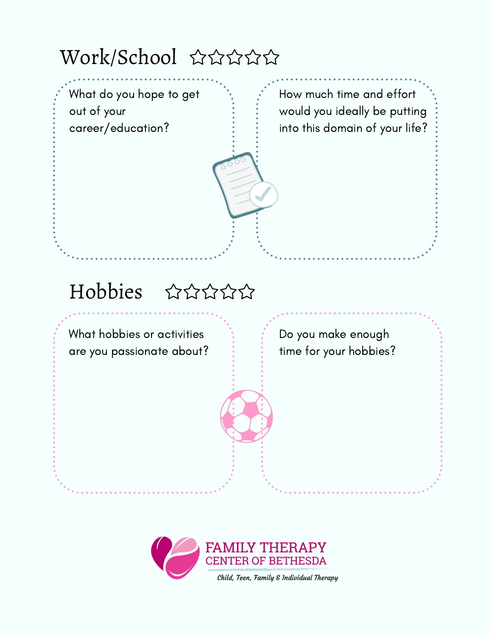Work/School ☆☆☆☆☆



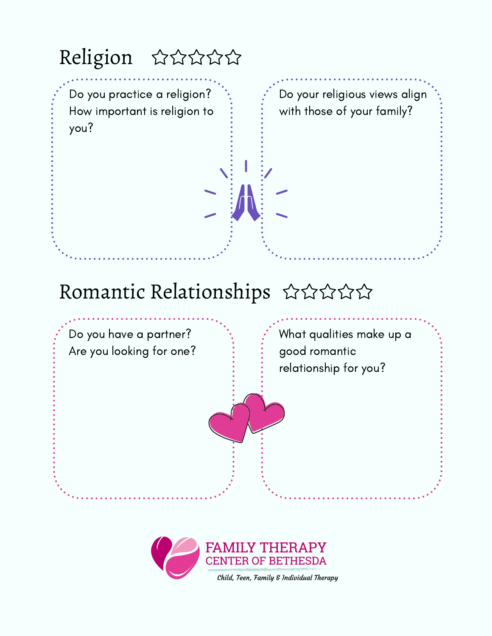